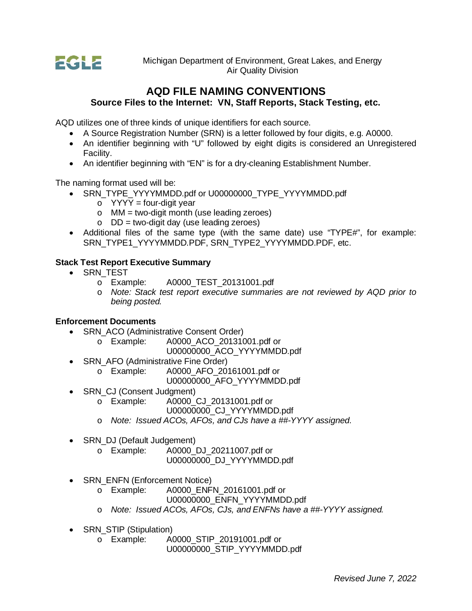

# **AQD FILE NAMING CONVENTIONS Source Files to the Internet: VN, Staff Reports, Stack Testing, etc.**

AQD utilizes one of three kinds of unique identifiers for each source.

- A Source Registration Number (SRN) is a letter followed by four digits, e.g. A0000.
- An identifier beginning with "U" followed by eight digits is considered an Unregistered Facility.
- An identifier beginning with "EN" is for a dry-cleaning Establishment Number.

The naming format used will be:

- SRN\_TYPE\_YYYYMMDD.pdf or U00000000\_TYPE\_YYYYMMDD.pdf
	- $\circ$  YYYY = four-digit year
	- $\circ$  MM = two-digit month (use leading zeroes)
	- $\circ$  DD = two-digit day (use leading zeroes)
- Additional files of the same type (with the same date) use "TYPE#", for example: SRN\_TYPE1\_YYYYMMDD.PDF, SRN\_TYPE2\_YYYYMMDD.PDF, etc.

### **Stack Test Report Executive Summary**

- SRN TEST
	- o Example: A0000\_TEST\_20131001.pdf
	- o *Note: Stack test report executive summaries are not reviewed by AQD prior to being posted.*

#### **Enforcement Documents**

- SRN ACO (Administrative Consent Order)
	- o Example: A0000\_ACO\_20131001.pdf or
		- U00000000\_ACO\_YYYYMMDD.pdf
- SRN AFO (Administrative Fine Order)
	- o Example: A0000\_AFO\_20161001.pdf or

U00000000\_AFO\_YYYYMMDD.pdf

- SRN\_CJ (Consent Judgment)
	- o Example: A0000\_CJ\_20131001.pdf or U00000000\_CJ\_YYYYMMDD.pdf
	- o *Note: Issued ACOs, AFOs, and CJs have a ##-YYYY assigned.*
- SRN\_DJ (Default Judgement)
	- o Example: A0000\_DJ\_20211007.pdf or U00000000\_DJ\_YYYYMMDD.pdf
- SRN ENFN (Enforcement Notice)
	- o Example: A0000\_ENFN\_20161001.pdf or
		- U00000000\_ENFN\_YYYYMMDD.pdf
	- o *Note: Issued ACOs, AFOs, CJs, and ENFNs have a ##-YYYY assigned.*
- SRN\_STIP (Stipulation)<br>G Example: A
	- A0000\_STIP\_20191001.pdf or

U00000000\_STIP\_YYYYMMDD.pdf